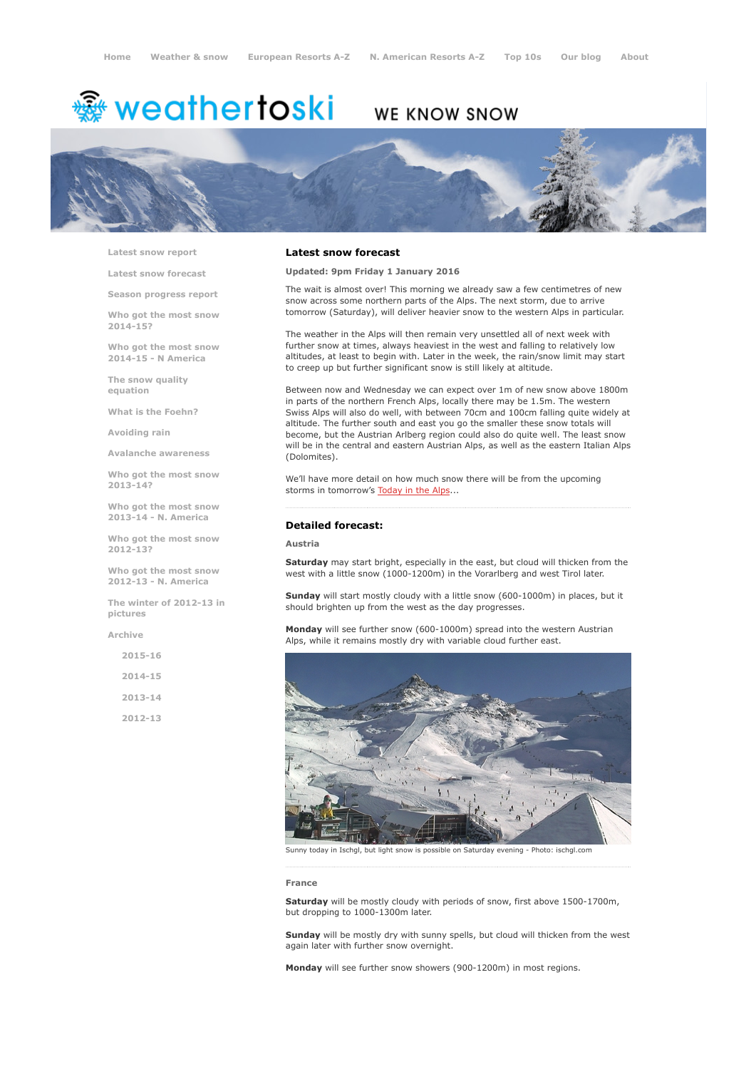# <sup>霧</sup> weathertoski

## WE KNOW SNOW



Latest snow [report](http://www.weathertoski.co.uk/weather-snow/latest-snow-report/)

Latest snow [forecast](http://www.weathertoski.co.uk/weather-snow/latest-snow-forecast/)

Season [progress](http://www.weathertoski.co.uk/weather-snow/season-progress-report/) report

Who got the most snow 2014-15?

Who got the most snow 2014-15 - N America

The snow quality [equation](http://www.weathertoski.co.uk/weather-snow/the-snow-quality-equation/)

What is the [Foehn?](http://www.weathertoski.co.uk/weather-snow/what-is-the-foehn/)

[Avoiding](http://www.weathertoski.co.uk/weather-snow/avoiding-rain/) rain

Avalanche [awareness](http://www.weathertoski.co.uk/weather-snow/avalanche-awareness/)

Who got the most snow 2013-14?

Who got the most snow 2013-14 - N. America

Who got the most snow 2012-13?

Who got the most snow 2012-13 - N. America

The winter of 2012-13 in pictures

[Archive](http://www.weathertoski.co.uk/weather-snow/archive/)

2015-16 2014-15 2013-14 2012-13

#### Latest snow forecast

Updated: 9pm Friday 1 January 2016

The wait is almost over! This morning we already saw a few centimetres of new snow across some northern parts of the Alps. The next storm, due to arrive tomorrow (Saturday), will deliver heavier snow to the western Alps in particular.

The weather in the Alps will then remain very unsettled all of next week with further snow at times, always heaviest in the west and falling to relatively low altitudes, at least to begin with. Later in the week, the rain/snow limit may start to creep up but further significant snow is still likely at altitude.

Between now and Wednesday we can expect over 1m of new snow above 1800m in parts of the northern French Alps, locally there may be 1.5m. The western Swiss Alps will also do well, with between 70cm and 100cm falling quite widely at altitude. The further south and east you go the smaller these snow totals will become, but the Austrian Arlberg region could also do quite well. The least snow will be in the central and eastern Austrian Alps, as well as the eastern Italian Alps (Dolomites).

We'll have more detail on how much snow there will be from the upcoming storms in tomorrow's [Today](http://www.weathertoski.co.uk/weather-snow/) in the Alps...

#### Detailed forecast:

#### Austria

Saturday may start bright, especially in the east, but cloud will thicken from the west with a little snow (1000-1200m) in the Vorarlberg and west Tirol later.

Sunday will start mostly cloudy with a little snow (600-1000m) in places, but it should brighten up from the west as the day progresses.

Monday will see further snow (600-1000m) spread into the western Austrian Alps, while it remains mostly dry with variable cloud further east.



Sunny today in Ischgl, but light snow is possible on Saturday evening - Photo: ischgl.com

#### France

Saturday will be mostly cloudy with periods of snow, first above 1500-1700m, but dropping to 1000-1300m later.

Sunday will be mostly dry with sunny spells, but cloud will thicken from the west again later with further snow overnight.

Monday will see further snow showers (900-1200m) in most regions.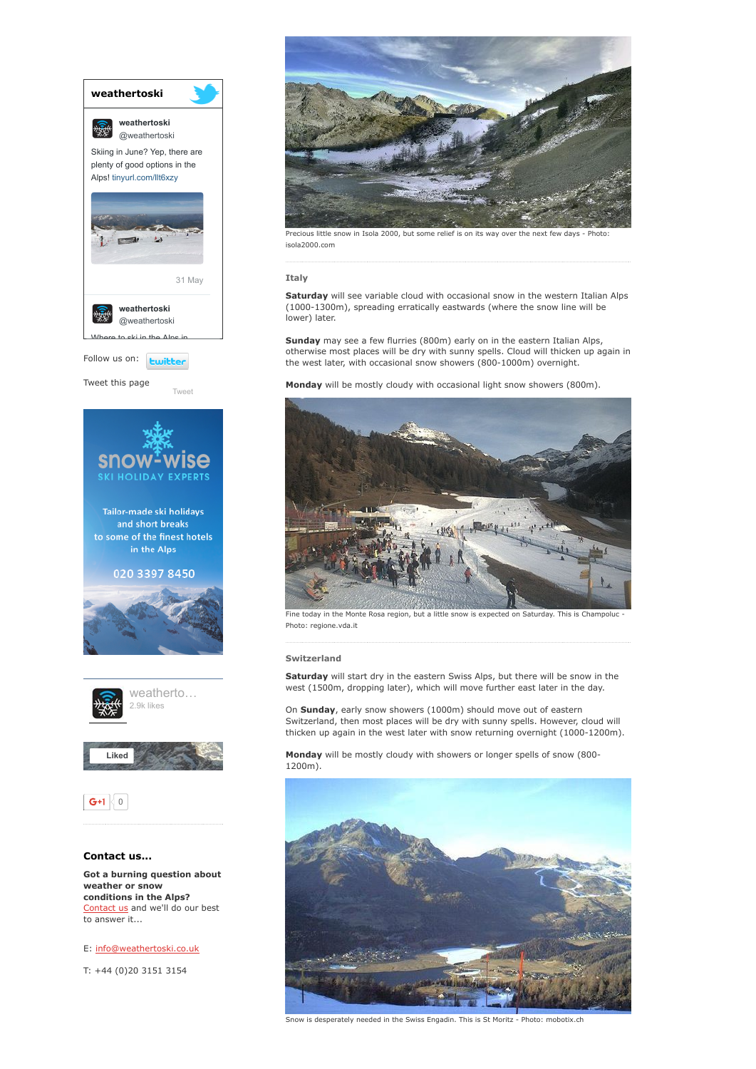

E: [info@weathertoski.co.uk](mailto:fraser@weathertoski.co.uk)

T: +44 (0)20 3151 3154



Precious little snow in Isola 2000, but some relief is on its way over the next few days - Photo: isola2000.com

Italy

Saturday will see variable cloud with occasional snow in the western Italian Alps (1000-1300m), spreading erratically eastwards (where the snow line will be lower) later.

Sunday may see a few flurries (800m) early on in the eastern Italian Alps, otherwise most places will be dry with sunny spells. Cloud will thicken up again in the west later, with occasional snow showers (800-1000m) overnight.

Monday will be mostly cloudy with occasional light snow showers (800m).



Fine today in the Monte Rosa region, but a little snow is expected on Saturday. This is Champoluc Photo: regione.vda.it

#### Switzerland

Saturday will start dry in the eastern Swiss Alps, but there will be snow in the west (1500m, dropping later), which will move further east later in the day.

On Sunday, early snow showers (1000m) should move out of eastern Switzerland, then most places will be dry with sunny spells. However, cloud will thicken up again in the west later with snow returning overnight (1000-1200m).

Monday will be mostly cloudy with showers or longer spells of snow (800-1200m).



Snow is desperately needed in the Swiss Engadin. This is St Moritz - Photo: mobotix.ch